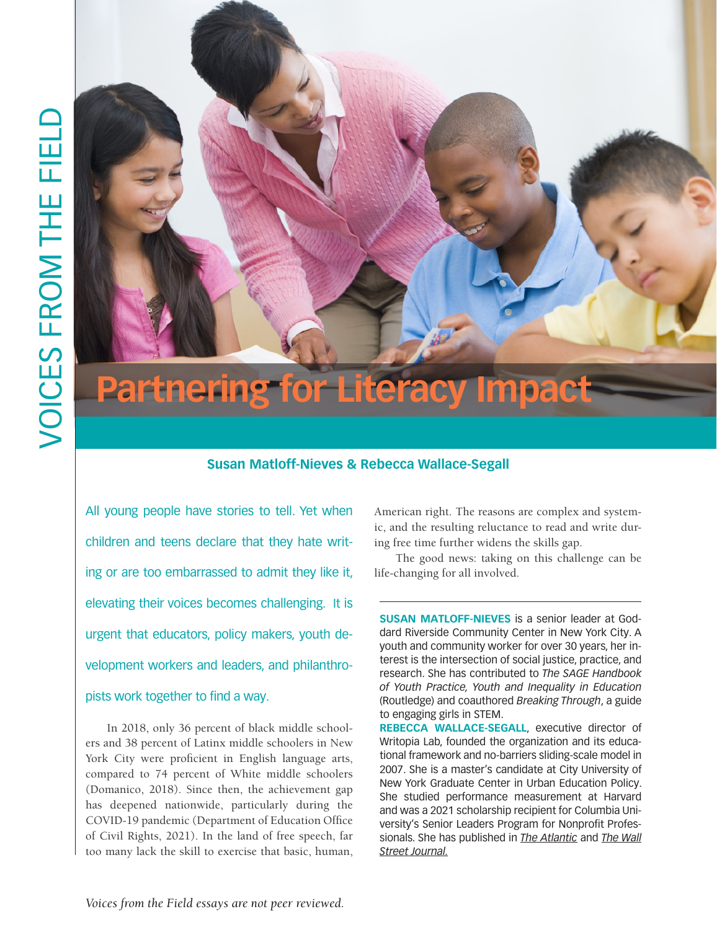

# **Susan Matloff-Nieves & Rebecca Wallace-Segall**

All young people have stories to tell. Yet when children and teens declare that they hate writing or are too embarrassed to admit they like it, elevating their voices becomes challenging. It is urgent that educators, policy makers, youth development workers and leaders, and philanthro-

# pists work together to find a way.

In 2018, only 36 percent of black middle schoolers and 38 percent of Latinx middle schoolers in New York City were proficient in English language arts, compared to 74 percent of White middle schoolers (Domanico, 2018). Since then, the achievement gap has deepened nationwide, particularly during the COVID-19 pandemic (Department of Education Office of Civil Rights, 2021). In the land of free speech, far too many lack the skill to exercise that basic, human, American right. The reasons are complex and systemic, and the resulting reluctance to read and write during free time further widens the skills gap.

The good news: taking on this challenge can be life-changing for all involved.

**SUSAN MATLOFF-NIEVES** is a senior leader at Goddard Riverside Community Center in New York City. A youth and community worker for over 30 years, her interest is the intersection of social justice, practice, and research. She has contributed to *The SAGE Handbook of Youth Practice, Youth and Inequality in Education* (Routledge) and coauthored *Breaking Through*, a guide to engaging girls in STEM.

**REBECCA WALLACE-SEGALL**, executive director of Writopia Lab, founded the organization and its educational framework and no-barriers sliding-scale model in 2007. She is a master's candidate at City University of New York Graduate Center in Urban Education Policy. She studied performance measurement at Harvard and was a 2021 scholarship recipient for Columbia University's Senior Leaders Program for Nonprofit Professionals. She has published in *The Atlantic* and *The Wall Street Journal.*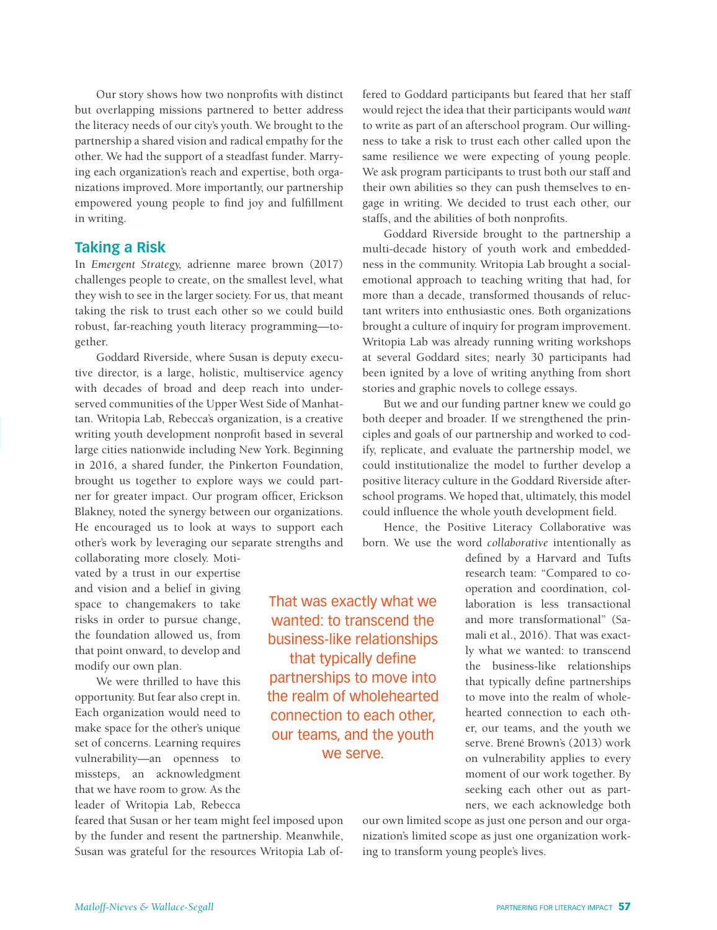Our story shows how two nonprofits with distinct but overlapping missions partnered to better address the literacy needs of our city's youth. We brought to the partnership a shared vision and radical empathy for the other. We had the support of a steadfast funder. Marrying each organization's reach and expertise, both organizations improved. More importantly, our partnership empowered young people to find joy and fulfillment in writing.

## **Taking a Risk**

In *Emergent Strategy,* adrienne maree brown (2017) challenges people to create, on the smallest level, what they wish to see in the larger society. For us, that meant taking the risk to trust each other so we could build robust, far-reaching youth literacy programming—together.

Goddard Riverside, where Susan is deputy executive director, is a large, holistic, multiservice agency with decades of broad and deep reach into underserved communities of the Upper West Side of Manhattan. Writopia Lab, Rebecca's organization, is a creative writing youth development nonprofit based in several large cities nationwide including New York. Beginning in 2016, a shared funder, the Pinkerton Foundation, brought us together to explore ways we could partner for greater impact. Our program officer, Erickson Blakney, noted the synergy between our organizations. He encouraged us to look at ways to support each other's work by leveraging our separate strengths and

collaborating more closely. Motivated by a trust in our expertise and vision and a belief in giving space to changemakers to take risks in order to pursue change, the foundation allowed us, from that point onward, to develop and modify our own plan.

We were thrilled to have this opportunity. But fear also crept in. Each organization would need to make space for the other's unique set of concerns. Learning requires vulnerability—an openness to missteps, an acknowledgment that we have room to grow. As the leader of Writopia Lab, Rebecca That was exactly what we wanted: to transcend the business-like relationships that typically define partnerships to move into the realm of wholehearted connection to each other, our teams, and the youth we serve.

fered to Goddard participants but feared that her staff would reject the idea that their participants would *want*  to write as part of an afterschool program. Our willingness to take a risk to trust each other called upon the same resilience we were expecting of young people. We ask program participants to trust both our staff and their own abilities so they can push themselves to engage in writing. We decided to trust each other, our staffs, and the abilities of both nonprofits.

Goddard Riverside brought to the partnership a multi-decade history of youth work and embeddedness in the community. Writopia Lab brought a socialemotional approach to teaching writing that had, for more than a decade, transformed thousands of reluctant writers into enthusiastic ones. Both organizations brought a culture of inquiry for program improvement. Writopia Lab was already running writing workshops at several Goddard sites; nearly 30 participants had been ignited by a love of writing anything from short stories and graphic novels to college essays.

But we and our funding partner knew we could go both deeper and broader. If we strengthened the principles and goals of our partnership and worked to codify, replicate, and evaluate the partnership model, we could institutionalize the model to further develop a positive literacy culture in the Goddard Riverside afterschool programs. We hoped that, ultimately, this model could influence the whole youth development field.

Hence, the Positive Literacy Collaborative was born. We use the word *collaborative* intentionally as

> defined by a Harvard and Tufts research team: "Compared to cooperation and coordination, collaboration is less transactional and more transformational" (Samali et al., 2016). That was exactly what we wanted: to transcend the business-like relationships that typically define partnerships to move into the realm of wholehearted connection to each other, our teams, and the youth we serve. Brené Brown's (2013) work on vulnerability applies to every moment of our work together. By seeking each other out as partners, we each acknowledge both

feared that Susan or her team might feel imposed upon by the funder and resent the partnership. Meanwhile, Susan was grateful for the resources Writopia Lab ofour own limited scope as just one person and our organization's limited scope as just one organization working to transform young people's lives.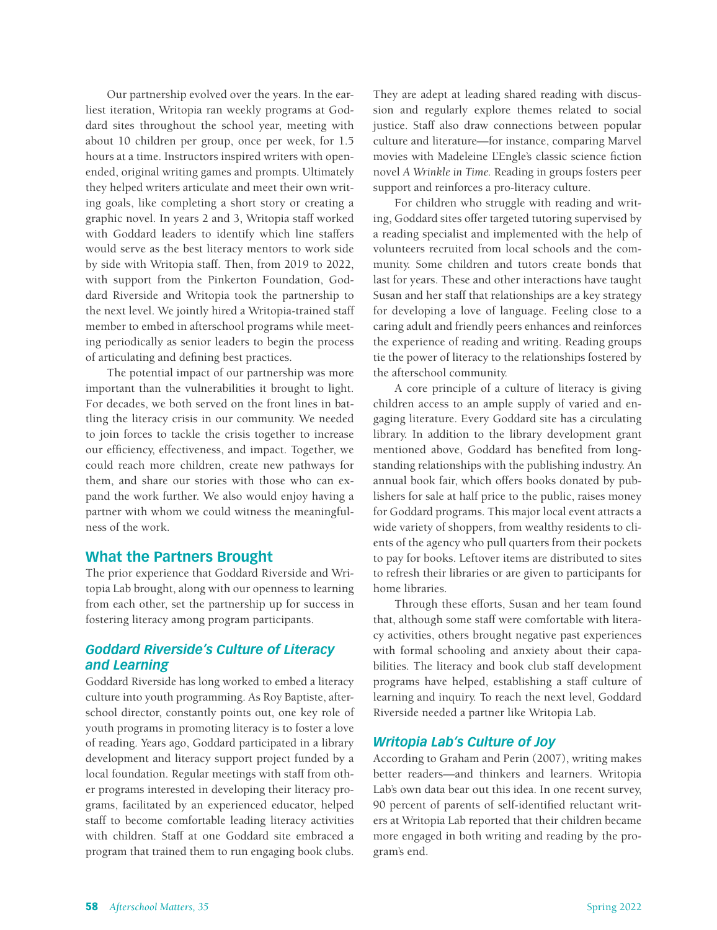Our partnership evolved over the years. In the earliest iteration, Writopia ran weekly programs at Goddard sites throughout the school year, meeting with about 10 children per group, once per week, for 1.5 hours at a time. Instructors inspired writers with openended, original writing games and prompts. Ultimately they helped writers articulate and meet their own writing goals, like completing a short story or creating a graphic novel. In years 2 and 3, Writopia staff worked with Goddard leaders to identify which line staffers would serve as the best literacy mentors to work side by side with Writopia staff. Then, from 2019 to 2022, with support from the Pinkerton Foundation, Goddard Riverside and Writopia took the partnership to the next level. We jointly hired a Writopia-trained staff member to embed in afterschool programs while meeting periodically as senior leaders to begin the process of articulating and defining best practices.

The potential impact of our partnership was more important than the vulnerabilities it brought to light. For decades, we both served on the front lines in battling the literacy crisis in our community. We needed to join forces to tackle the crisis together to increase our efficiency, effectiveness, and impact. Together, we could reach more children, create new pathways for them, and share our stories with those who can expand the work further. We also would enjoy having a partner with whom we could witness the meaningfulness of the work.

# **What the Partners Brought**

The prior experience that Goddard Riverside and Writopia Lab brought, along with our openness to learning from each other, set the partnership up for success in fostering literacy among program participants.

# *Goddard Riverside's Culture of Literacy and Learning*

Goddard Riverside has long worked to embed a literacy culture into youth programming. As Roy Baptiste, afterschool director, constantly points out, one key role of youth programs in promoting literacy is to foster a love of reading. Years ago, Goddard participated in a library development and literacy support project funded by a local foundation. Regular meetings with staff from other programs interested in developing their literacy programs, facilitated by an experienced educator, helped staff to become comfortable leading literacy activities with children. Staff at one Goddard site embraced a program that trained them to run engaging book clubs.

They are adept at leading shared reading with discussion and regularly explore themes related to social justice. Staff also draw connections between popular culture and literature—for instance, comparing Marvel movies with Madeleine L'Engle's classic science fiction novel *A Wrinkle in Time.* Reading in groups fosters peer support and reinforces a pro-literacy culture.

For children who struggle with reading and writing, Goddard sites offer targeted tutoring supervised by a reading specialist and implemented with the help of volunteers recruited from local schools and the community. Some children and tutors create bonds that last for years. These and other interactions have taught Susan and her staff that relationships are a key strategy for developing a love of language. Feeling close to a caring adult and friendly peers enhances and reinforces the experience of reading and writing. Reading groups tie the power of literacy to the relationships fostered by the afterschool community.

A core principle of a culture of literacy is giving children access to an ample supply of varied and engaging literature. Every Goddard site has a circulating library. In addition to the library development grant mentioned above, Goddard has benefited from longstanding relationships with the publishing industry. An annual book fair, which offers books donated by publishers for sale at half price to the public, raises money for Goddard programs. This major local event attracts a wide variety of shoppers, from wealthy residents to clients of the agency who pull quarters from their pockets to pay for books. Leftover items are distributed to sites to refresh their libraries or are given to participants for home libraries.

Through these efforts, Susan and her team found that, although some staff were comfortable with literacy activities, others brought negative past experiences with formal schooling and anxiety about their capabilities. The literacy and book club staff development programs have helped, establishing a staff culture of learning and inquiry. To reach the next level, Goddard Riverside needed a partner like Writopia Lab.

# *Writopia Lab's Culture of Joy*

According to Graham and Perin (2007), writing makes better readers—and thinkers and learners. Writopia Lab's own data bear out this idea. In one recent survey, 90 percent of parents of self-identified reluctant writers at Writopia Lab reported that their children became more engaged in both writing and reading by the program's end.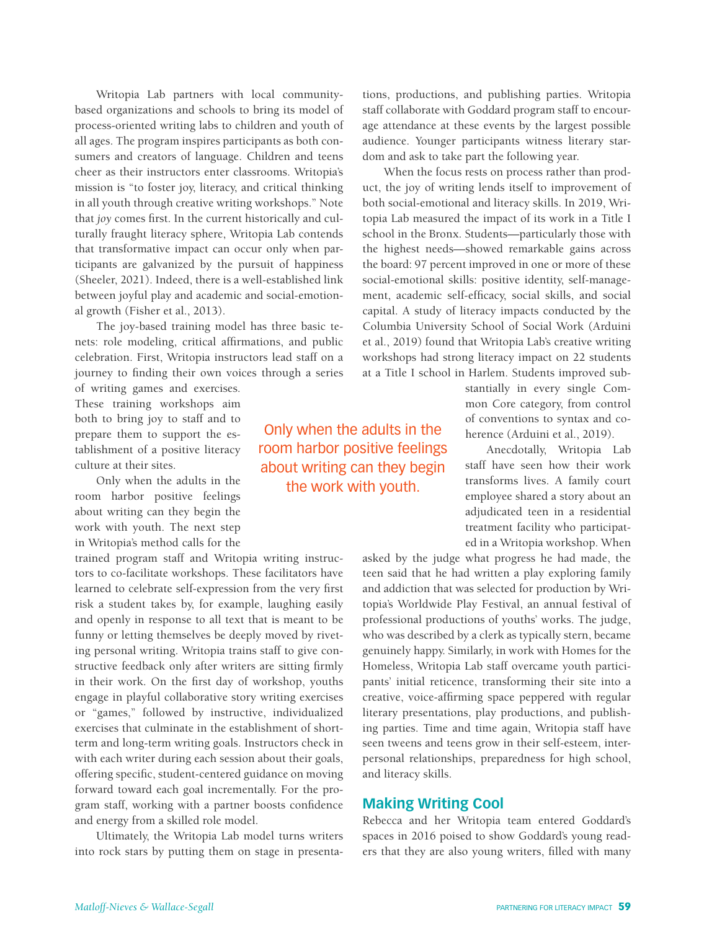Writopia Lab partners with local communitybased organizations and schools to bring its model of process-oriented writing labs to children and youth of all ages. The program inspires participants as both consumers and creators of language. Children and teens cheer as their instructors enter classrooms. Writopia's mission is "to foster joy, literacy, and critical thinking in all youth through creative writing workshops." Note that *joy* comes first. In the current historically and culturally fraught literacy sphere, Writopia Lab contends that transformative impact can occur only when participants are galvanized by the pursuit of happiness (Sheeler, 2021). Indeed, there is a well-established link between joyful play and academic and social-emotional growth (Fisher et al., 2013).

The joy-based training model has three basic tenets: role modeling, critical affirmations, and public celebration. First, Writopia instructors lead staff on a journey to finding their own voices through a series

of writing games and exercises. These training workshops aim both to bring joy to staff and to prepare them to support the establishment of a positive literacy culture at their sites.

Only when the adults in the room harbor positive feelings about writing can they begin the work with youth. The next step in Writopia's method calls for the

trained program staff and Writopia writing instructors to co-facilitate workshops. These facilitators have learned to celebrate self-expression from the very first risk a student takes by, for example, laughing easily and openly in response to all text that is meant to be funny or letting themselves be deeply moved by riveting personal writing. Writopia trains staff to give constructive feedback only after writers are sitting firmly in their work. On the first day of workshop, youths engage in playful collaborative story writing exercises or "games," followed by instructive, individualized exercises that culminate in the establishment of shortterm and long-term writing goals. Instructors check in with each writer during each session about their goals, offering specific, student-centered guidance on moving forward toward each goal incrementally. For the program staff, working with a partner boosts confidence and energy from a skilled role model.

Ultimately, the Writopia Lab model turns writers into rock stars by putting them on stage in presentations, productions, and publishing parties. Writopia staff collaborate with Goddard program staff to encourage attendance at these events by the largest possible audience. Younger participants witness literary stardom and ask to take part the following year.

When the focus rests on process rather than product, the joy of writing lends itself to improvement of both social-emotional and literacy skills. In 2019, Writopia Lab measured the impact of its work in a Title I school in the Bronx. Students—particularly those with the highest needs—showed remarkable gains across the board: 97 percent improved in one or more of these social-emotional skills: positive identity, self-management, academic self-efficacy, social skills, and social capital. A study of literacy impacts conducted by the Columbia University School of Social Work (Arduini et al., 2019) found that Writopia Lab's creative writing workshops had strong literacy impact on 22 students at a Title I school in Harlem. Students improved sub-

> stantially in every single Common Core category, from control of conventions to syntax and coherence (Arduini et al., 2019).

> Anecdotally, Writopia Lab staff have seen how their work transforms lives. A family court employee shared a story about an adjudicated teen in a residential treatment facility who participated in a Writopia workshop. When

asked by the judge what progress he had made, the teen said that he had written a play exploring family and addiction that was selected for production by Writopia's Worldwide Play Festival, an annual festival of professional productions of youths' works. The judge, who was described by a clerk as typically stern, became genuinely happy. Similarly, in work with Homes for the Homeless, Writopia Lab staff overcame youth participants' initial reticence, transforming their site into a creative, voice-affirming space peppered with regular literary presentations, play productions, and publishing parties. Time and time again, Writopia staff have seen tweens and teens grow in their self-esteem, interpersonal relationships, preparedness for high school, and literacy skills.

## **Making Writing Cool**

Rebecca and her Writopia team entered Goddard's spaces in 2016 poised to show Goddard's young readers that they are also young writers, filled with many

Only when the adults in the room harbor positive feelings about writing can they begin the work with youth.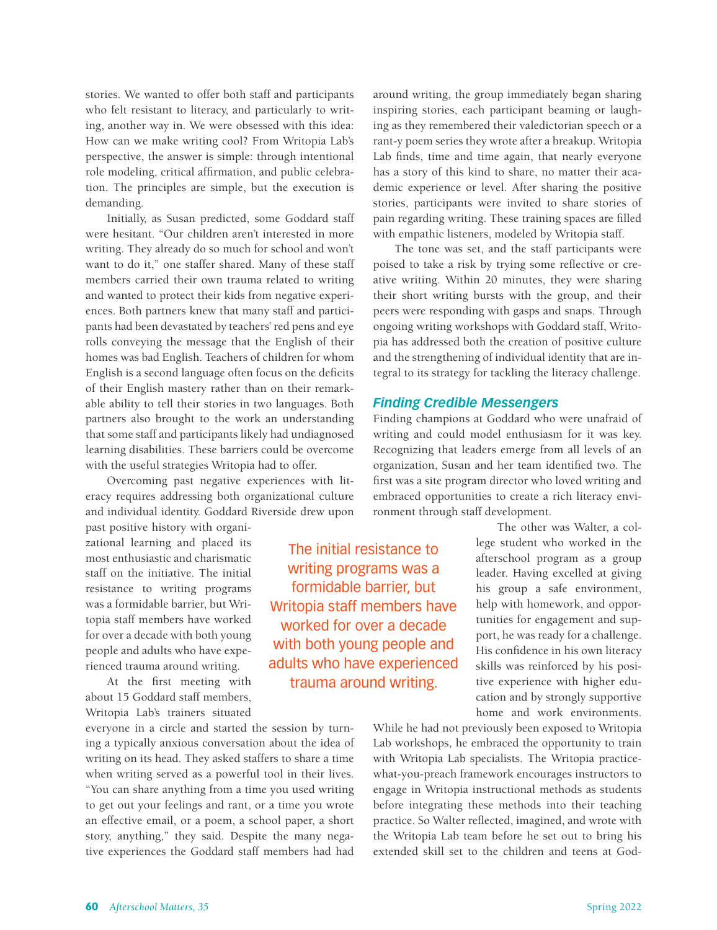stories. We wanted to offer both staff and participants who felt resistant to literacy, and particularly to writing, another way in. We were obsessed with this idea: How can we make writing cool? From Writopia Lab's perspective, the answer is simple: through intentional role modeling, critical affirmation, and public celebration. The principles are simple, but the execution is demanding.

Initially, as Susan predicted, some Goddard staff were hesitant. "Our children aren't interested in more writing. They already do so much for school and won't want to do it," one staffer shared. Many of these staff members carried their own trauma related to writing and wanted to protect their kids from negative experiences. Both partners knew that many staff and participants had been devastated by teachers' red pens and eye rolls conveying the message that the English of their homes was bad English. Teachers of children for whom English is a second language often focus on the deficits of their English mastery rather than on their remarkable ability to tell their stories in two languages. Both partners also brought to the work an understanding that some staff and participants likely had undiagnosed learning disabilities. These barriers could be overcome with the useful strategies Writopia had to offer.

Overcoming past negative experiences with literacy requires addressing both organizational culture and individual identity. Goddard Riverside drew upon

past positive history with organizational learning and placed its most enthusiastic and charismatic staff on the initiative. The initial resistance to writing programs was a formidable barrier, but Writopia staff members have worked for over a decade with both young people and adults who have experienced trauma around writing.

At the first meeting with about 15 Goddard staff members, Writopia Lab's trainers situated

everyone in a circle and started the session by turning a typically anxious conversation about the idea of writing on its head. They asked staffers to share a time when writing served as a powerful tool in their lives. "You can share anything from a time you used writing to get out your feelings and rant, or a time you wrote an effective email, or a poem, a school paper, a short story, anything," they said. Despite the many negative experiences the Goddard staff members had had

around writing, the group immediately began sharing inspiring stories, each participant beaming or laughing as they remembered their valedictorian speech or a rant-y poem series they wrote after a breakup. Writopia Lab finds, time and time again, that nearly everyone has a story of this kind to share, no matter their academic experience or level. After sharing the positive stories, participants were invited to share stories of pain regarding writing. These training spaces are filled with empathic listeners, modeled by Writopia staff.

The tone was set, and the staff participants were poised to take a risk by trying some reflective or creative writing. Within 20 minutes, they were sharing their short writing bursts with the group, and their peers were responding with gasps and snaps. Through ongoing writing workshops with Goddard staff, Writopia has addressed both the creation of positive culture and the strengthening of individual identity that are integral to its strategy for tackling the literacy challenge.

### *Finding Credible Messengers*

Finding champions at Goddard who were unafraid of writing and could model enthusiasm for it was key. Recognizing that leaders emerge from all levels of an organization, Susan and her team identified two. The first was a site program director who loved writing and embraced opportunities to create a rich literacy environment through staff development.

> The other was Walter, a college student who worked in the afterschool program as a group leader. Having excelled at giving his group a safe environment, help with homework, and opportunities for engagement and support, he was ready for a challenge. His confidence in his own literacy skills was reinforced by his positive experience with higher education and by strongly supportive home and work environments.

While he had not previously been exposed to Writopia Lab workshops, he embraced the opportunity to train with Writopia Lab specialists. The Writopia practicewhat-you-preach framework encourages instructors to engage in Writopia instructional methods as students before integrating these methods into their teaching practice. So Walter reflected, imagined, and wrote with the Writopia Lab team before he set out to bring his extended skill set to the children and teens at God-

The initial resistance to writing programs was a formidable barrier, but Writopia staff members have worked for over a decade with both young people and adults who have experienced trauma around writing.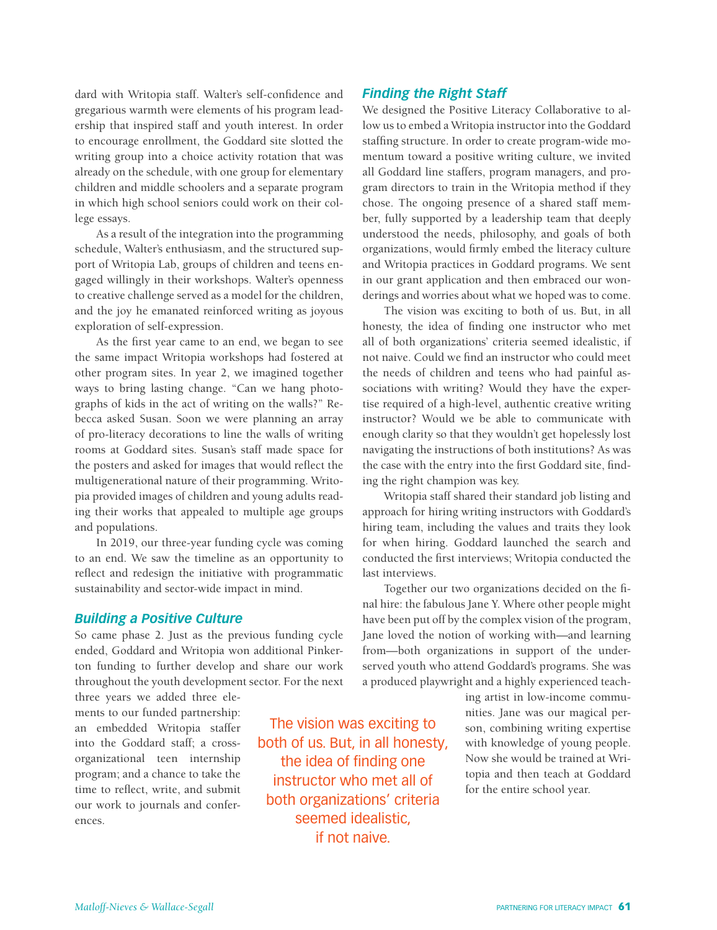dard with Writopia staff. Walter's self-confidence and gregarious warmth were elements of his program leadership that inspired staff and youth interest. In order to encourage enrollment, the Goddard site slotted the writing group into a choice activity rotation that was already on the schedule, with one group for elementary children and middle schoolers and a separate program in which high school seniors could work on their college essays.

As a result of the integration into the programming schedule, Walter's enthusiasm, and the structured support of Writopia Lab, groups of children and teens engaged willingly in their workshops. Walter's openness to creative challenge served as a model for the children, and the joy he emanated reinforced writing as joyous exploration of self-expression.

As the first year came to an end, we began to see the same impact Writopia workshops had fostered at other program sites. In year 2, we imagined together ways to bring lasting change. "Can we hang photographs of kids in the act of writing on the walls?" Rebecca asked Susan. Soon we were planning an array of pro-literacy decorations to line the walls of writing rooms at Goddard sites. Susan's staff made space for the posters and asked for images that would reflect the multigenerational nature of their programming. Writopia provided images of children and young adults reading their works that appealed to multiple age groups and populations.

In 2019, our three-year funding cycle was coming to an end. We saw the timeline as an opportunity to reflect and redesign the initiative with programmatic sustainability and sector-wide impact in mind.

#### *Building a Positive Culture*

So came phase 2. Just as the previous funding cycle ended, Goddard and Writopia won additional Pinkerton funding to further develop and share our work throughout the youth development sector. For the next

three years we added three elements to our funded partnership: an embedded Writopia staffer into the Goddard staff; a crossorganizational teen internship program; and a chance to take the time to reflect, write, and submit our work to journals and conferences.

The vision was exciting to both of us. But, in all honesty, the idea of finding one instructor who met all of both organizations' criteria seemed idealistic, if not naive.

#### *Finding the Right Staff*

We designed the Positive Literacy Collaborative to allow us to embed a Writopia instructor into the Goddard staffing structure. In order to create program-wide momentum toward a positive writing culture, we invited all Goddard line staffers, program managers, and program directors to train in the Writopia method if they chose. The ongoing presence of a shared staff member, fully supported by a leadership team that deeply understood the needs, philosophy, and goals of both organizations, would firmly embed the literacy culture and Writopia practices in Goddard programs. We sent in our grant application and then embraced our wonderings and worries about what we hoped was to come.

The vision was exciting to both of us. But, in all honesty, the idea of finding one instructor who met all of both organizations' criteria seemed idealistic, if not naive. Could we find an instructor who could meet the needs of children and teens who had painful associations with writing? Would they have the expertise required of a high-level, authentic creative writing instructor? Would we be able to communicate with enough clarity so that they wouldn't get hopelessly lost navigating the instructions of both institutions? As was the case with the entry into the first Goddard site, finding the right champion was key.

Writopia staff shared their standard job listing and approach for hiring writing instructors with Goddard's hiring team, including the values and traits they look for when hiring. Goddard launched the search and conducted the first interviews; Writopia conducted the last interviews.

Together our two organizations decided on the final hire: the fabulous Jane Y. Where other people might have been put off by the complex vision of the program, Jane loved the notion of working with—and learning from—both organizations in support of the underserved youth who attend Goddard's programs. She was a produced playwright and a highly experienced teach-

> ing artist in low-income communities. Jane was our magical person, combining writing expertise with knowledge of young people. Now she would be trained at Writopia and then teach at Goddard for the entire school year.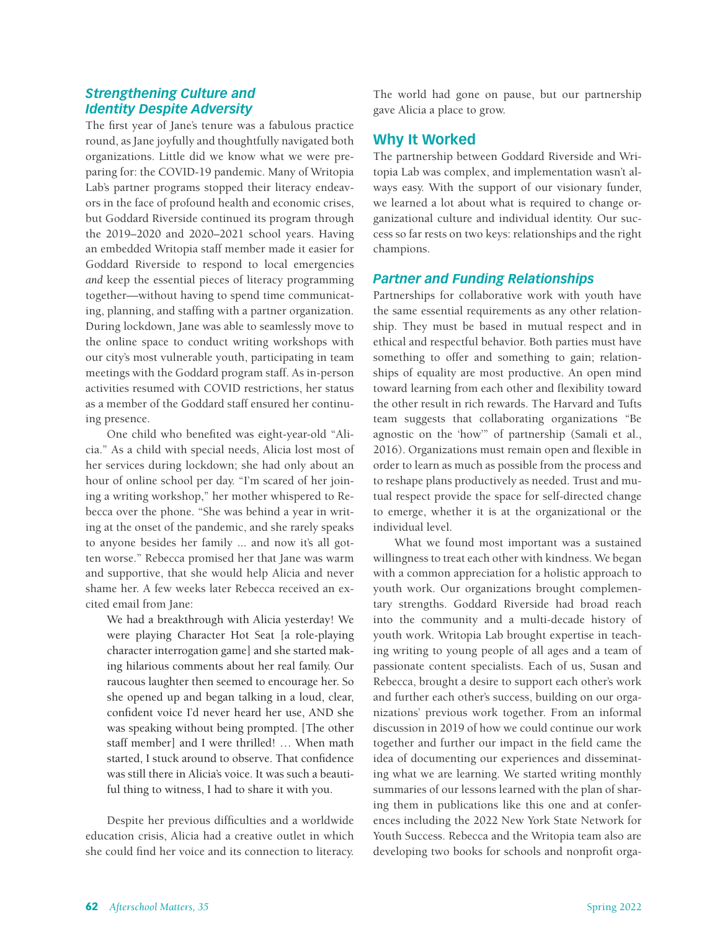# *Strengthening Culture and Identity Despite Adversity*

The first year of Jane's tenure was a fabulous practice round, as Jane joyfully and thoughtfully navigated both organizations. Little did we know what we were preparing for: the COVID-19 pandemic. Many of Writopia Lab's partner programs stopped their literacy endeavors in the face of profound health and economic crises, but Goddard Riverside continued its program through the 2019–2020 and 2020–2021 school years. Having an embedded Writopia staff member made it easier for Goddard Riverside to respond to local emergencies *and* keep the essential pieces of literacy programming together—without having to spend time communicating, planning, and staffing with a partner organization. During lockdown, Jane was able to seamlessly move to the online space to conduct writing workshops with our city's most vulnerable youth, participating in team meetings with the Goddard program staff. As in-person activities resumed with COVID restrictions, her status as a member of the Goddard staff ensured her continuing presence.

One child who benefited was eight-year-old "Alicia." As a child with special needs, Alicia lost most of her services during lockdown; she had only about an hour of online school per day. "I'm scared of her joining a writing workshop," her mother whispered to Rebecca over the phone. "She was behind a year in writing at the onset of the pandemic, and she rarely speaks to anyone besides her family ... and now it's all gotten worse." Rebecca promised her that Jane was warm and supportive, that she would help Alicia and never shame her. A few weeks later Rebecca received an excited email from Jane:

We had a breakthrough with Alicia yesterday! We were playing Character Hot Seat [a role-playing character interrogation game] and she started making hilarious comments about her real family. Our raucous laughter then seemed to encourage her. So she opened up and began talking in a loud, clear, confident voice I'd never heard her use, AND she was speaking without being prompted. [The other staff member] and I were thrilled! … When math started, I stuck around to observe. That confidence was still there in Alicia's voice. It was such a beautiful thing to witness, I had to share it with you.

Despite her previous difficulties and a worldwide education crisis, Alicia had a creative outlet in which she could find her voice and its connection to literacy.

The world had gone on pause, but our partnership gave Alicia a place to grow.

# **Why It Worked**

The partnership between Goddard Riverside and Writopia Lab was complex, and implementation wasn't always easy. With the support of our visionary funder, we learned a lot about what is required to change organizational culture and individual identity. Our success so far rests on two keys: relationships and the right champions.

## *Partner and Funding Relationships*

Partnerships for collaborative work with youth have the same essential requirements as any other relationship. They must be based in mutual respect and in ethical and respectful behavior. Both parties must have something to offer and something to gain; relationships of equality are most productive. An open mind toward learning from each other and flexibility toward the other result in rich rewards. The Harvard and Tufts team suggests that collaborating organizations "Be agnostic on the 'how'" of partnership (Samali et al., 2016). Organizations must remain open and flexible in order to learn as much as possible from the process and to reshape plans productively as needed. Trust and mutual respect provide the space for self-directed change to emerge, whether it is at the organizational or the individual level.

What we found most important was a sustained willingness to treat each other with kindness. We began with a common appreciation for a holistic approach to youth work. Our organizations brought complementary strengths. Goddard Riverside had broad reach into the community and a multi-decade history of youth work. Writopia Lab brought expertise in teaching writing to young people of all ages and a team of passionate content specialists. Each of us, Susan and Rebecca, brought a desire to support each other's work and further each other's success, building on our organizations' previous work together. From an informal discussion in 2019 of how we could continue our work together and further our impact in the field came the idea of documenting our experiences and disseminating what we are learning. We started writing monthly summaries of our lessons learned with the plan of sharing them in publications like this one and at conferences including the 2022 New York State Network for Youth Success. Rebecca and the Writopia team also are developing two books for schools and nonprofit orga